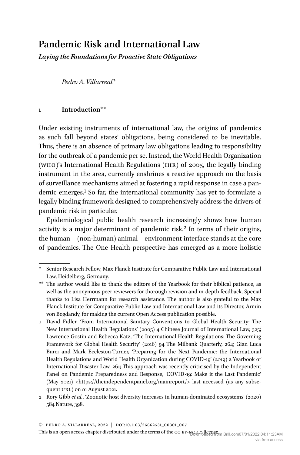# **Pandemic Risk and International Law**

*Laying the Foundations for Proactive State Obligations*

*Pedro A. Villarreal*\*

## **1 Introduction**\*\*

Under existing instruments of international law, the origins of pandemics as such fall beyond states' obligations, being considered to be inevitable. Thus, there is an absence of primary law obligations leading to responsibility for the outbreak of a pandemic per se. Instead, the World Health Organization (WHO)'s International Health Regulations ( $IHR$ ) of 2005, the legally binding instrument in the area, currently enshrines a reactive approach on the basis of surveillance mechanisms aimed at fostering a rapid response in case a pandemic emerges.1 So far, the international community has yet to formulate a legally binding framework designed to comprehensively address the drivers of pandemic risk in particular.

Epidemiological public health research increasingly shows how human activity is a major determinant of pandemic risk.<sup>2</sup> In terms of their origins, the human – (non-human) animal – environment interface stands at the core of pandemics. The One Health perspective has emerged as a more holistic

Senior Research Fellow, Max Planck Institute for Comparative Public Law and International Law, Heidelberg, Germany.

<sup>\*\*</sup> The author would like to thank the editors of the Yearbook for their biblical patience, as well as the anonymous peer reviewers for thorough revision and in-depth feedback. Special thanks to Lisa Herrmann for research assistance. The author is also grateful to the Max Planck Institute for Comparative Public Law and International Law and its Director, Armin von Bogdandy, for making the current Open Access publication possible.

<sup>1</sup> David Fidler, 'From International Sanitary Conventions to Global Health Security: The New International Health Regulations' (2005) 4 Chinese Journal of International Law, 325; Lawrence Gostin and Rebecca Katz, 'The International Health Regulations: The Governing Framework for Global Health Security' (2016) 94 The Milbank Quarterly, 264; Gian Luca Burci and Mark Eccleston-Turner, 'Preparing for the Next Pandemic: the International Health Regulations and World Health Organization during COVID-19' (2019) 2 Yearbook of International Disaster Law, 261; This approach was recently criticised by the Independent Panel on Pandemic Preparedness and Response, 'COVID-19: Make it the Last Pandemic' (May 2021) [<https://theindependentpanel.org/mainreport/](https://theindependentpanel.org/mainreport/)> last accessed (as any subsequent URL) on 01 August 2021.

<sup>2</sup> Rory Gibb *et al.*, 'Zoonotic host diversity increases in human-dominated ecosystems' (2020) 584 Nature, 398.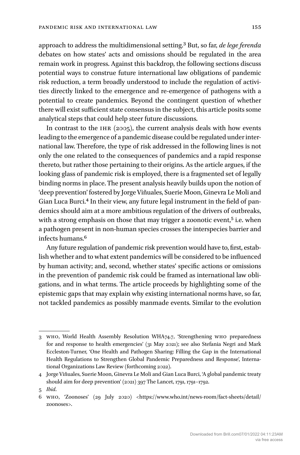approach to address the multidimensional setting.3 But, so far, *de lege ferenda* debates on how states' acts and omissions should be regulated in the area remain work in progress. Against this backdrop, the following sections discuss potential ways to construe future international law obligations of pandemic risk reduction, a term broadly understood to include the regulation of activities directly linked to the emergence and re-emergence of pathogens with a potential to create pandemics. Beyond the contingent question of whether there will exist sufficient state consensus in the subject, this article posits some analytical steps that could help steer future discussions.

In contrast to the IHR  $(2005)$ , the current analysis deals with how events leading to the emergence of a pandemic disease could be regulated under international law. Therefore, the type of risk addressed in the following lines is not only the one related to the consequences of pandemics and a rapid response thereto, but rather those pertaining to their origins. As the article argues, if the looking glass of pandemic risk is employed, there is a fragmented set of legally binding norms in place. The present analysis heavily builds upon the notion of 'deep prevention' fostered by Jorge Viñuales, Suerie Moon, Ginevra Le Moli and Gian Luca Burci.4 In their view, any future legal instrument in the field of pandemics should aim at a more ambitious regulation of the drivers of outbreaks, with a strong emphasis on those that may trigger a zoonotic event,<sup>5</sup> i.e. when a pathogen present in non-human species crosses the interspecies barrier and infects humans.6

Any future regulation of pandemic risk prevention would have to, first, establish whether and to what extent pandemics will be considered to be influenced by human activity; and, second, whether states' specific actions or omissions in the prevention of pandemic risk could be framed as international law obligations, and in what terms. The article proceeds by highlighting some of the epistemic gaps that may explain why existing international norms have, so far, not tackled pandemics as possibly manmade events. Similar to the evolution

<sup>3</sup> who, World Health Assembly Resolution WHA74.7, 'Strengthening who preparedness for and response to health emergencies' (31 May 2021); see also Stefania Negri and Mark Eccleston-Turner, 'One Health and Pathogen Sharing: Filling the Gap in the International Health Regulations to Strengthen Global Pandemic Preparedness and Response', International Organizations Law Review (forthcoming 2022).

<sup>4</sup> Jorge Viñuales, Suerie Moon, Ginevra Le Moli and Gian Luca Burci, 'A global pandemic treaty should aim for deep prevention' (2021) 397 The Lancet, 1791, 1791–1792.

<sup>5</sup> *Ibid*.

<sup>6</sup> who, 'Zoonoses' (29 July 2020) [<https://www.who.int/](https://www.who.int/news-room/fact-sheets/detail/zoonoses)news-room/fact-sheets/detail/ [zoonoses](https://www.who.int/news-room/fact-sheets/detail/zoonoses)>.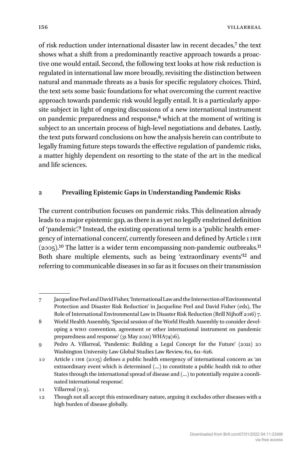of risk reduction under international disaster law in recent decades,7 the text shows what a shift from a predominantly reactive approach towards a proactive one would entail. Second, the following text looks at how risk reduction is regulated in international law more broadly, revisiting the distinction between natural and manmade threats as a basis for specific regulatory choices. Third, the text sets some basic foundations for what overcoming the current reactive approach towards pandemic risk would legally entail. It is a particularly apposite subject in light of ongoing discussions of a new international instrument on pandemic preparedness and response,8 which at the moment of writing is subject to an uncertain process of high-level negotiations and debates. Lastly, the text puts forward conclusions on how the analysis herein can contribute to legally framing future steps towards the effective regulation of pandemic risks, a matter highly dependent on resorting to the state of the art in the medical and life sciences.

## **2 Prevailing Epistemic Gaps in Understanding Pandemic Risks**

The current contribution focuses on pandemic risks. This delineation already leads to a major epistemic gap, as there is as yet no legally enshrined definition of 'pandemic'.9 Instead, the existing operational term is a 'public health emergency of international concern', currently foreseen and defined by Article 1 ihr  $(2005).$ <sup>10</sup> The latter is a wider term encompassing non-pandemic outbreaks.<sup>11</sup> Both share multiple elements, such as being 'extraordinary events'12 and referring to communicable diseases in so far as it focuses on their transmission

<sup>7</sup> Jacqueline Peel and David Fisher, 'International Law and the Intersection of Environmental Protection and Disaster Risk Reduction' in Jacqueline Peel and David Fisher (eds), The Role of International Environmental Law in Disaster Risk Reduction (Brill Nijhoff 2016) 7.

<sup>8</sup> World Health Assembly, 'Special session of the World Health Assembly to consider developing a who convention, agreement or other international instrument on pandemic preparedness and response' (31 May 2021) WHA74(16).

<sup>9</sup> Pedro A. Villarreal, 'Pandemic: Building a Legal Concept for the Future' (2021) 20 Washington University Law Global Studies Law Review, 611, 611–626.

<sup>10</sup> Article 1 ihr (2005) defines a public health emergency of international concern as 'an extraordinary event which is determined (…) to constitute a public health risk to other States through the international spread of disease and (…) to potentially require a coordinated international response'.

<sup>11</sup> Villarreal (n 9).

<sup>12</sup> Though not all accept this extraordinary nature, arguing it excludes other diseases with a high burden of disease globally.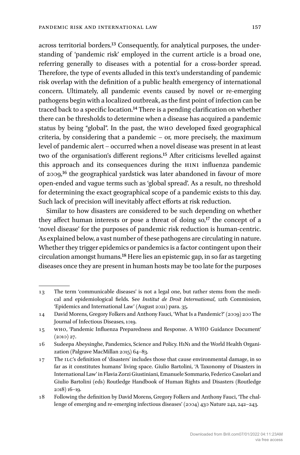across territorial borders.13 Consequently, for analytical purposes, the understanding of 'pandemic risk' employed in the current article is a broad one, referring generally to diseases with a potential for a cross-border spread. Therefore, the type of events alluded in this text's understanding of pandemic risk overlap with the definition of a public health emergency of international concern. Ultimately, all pandemic events caused by novel or re-emerging pathogens begin with a localized outbreak, as the first point of infection can be traced back to a specific location.14 There is a pending clarification on whether there can be thresholds to determine when a disease has acquired a pandemic status by being "global". In the past, the who developed fixed geographical criteria, by considering that a pandemic – or, more precisely, the maximum level of pandemic alert – occurred when a novel disease was present in at least two of the organisation's different regions.15 After criticisms levelled against this approach and its consequences during the H1N1 influenza pandemic of 2009,16 the geographical yardstick was later abandoned in favour of more open-ended and vague terms such as 'global spread'. As a result, no threshold for determining the exact geographical scope of a pandemic exists to this day. Such lack of precision will inevitably affect efforts at risk reduction.

Similar to how disasters are considered to be such depending on whether they affect human interests or pose a threat of doing  $so<sub>1</sub>$ <sup>17</sup> the concept of a 'novel disease' for the purposes of pandemic risk reduction is human-centric. As explained below, a vast number of these pathogens are circulating in nature. Whether they trigger epidemics or pandemics is a factor contingent upon their circulation amongst humans.18 Here lies an epistemic gap, in so far as targeting diseases once they are present in human hosts may be too late for the purposes

<sup>13</sup> The term 'communicable diseases' is not a legal one, but rather stems from the medical and epidemiological fields. See *Institut de Droit International*, 12th Commission, 'Epidemics and International Law' (August 2021) para. 35.

<sup>14</sup> David Morens, Gregory Folkers and Anthony Fauci, 'What Is a Pandemic?' (2009) 200 The Journal of Infectious Diseases, 1019.

<sup>15</sup> who, 'Pandemic Influenza Preparedness and Response. A WHO Guidance Document' (2010) 27.

<sup>16</sup> Sudeepa Abeysinghe, Pandemics, Science and Policy. H1N1 and the World Health Organization (Palgrave MacMillan 2015) 64–83.

<sup>17</sup> The ILC's definition of 'disasters' includes those that cause environmental damage, in so far as it constitutes humans' living space. Giulio Bartolini, 'A Taxonomy of Disasters in International Law' in Flavia Zorzi Giustiniani, Emanuele Sommario, Federico Casolari and Giulio Bartolini (eds) Routledge Handbook of Human Rights and Disasters (Routledge 2018) 16–19.

<sup>18</sup> Following the definition by David Morens, Gregory Folkers and Anthony Fauci, 'The challenge of emerging and re-emerging infectious diseases' (2004) 430 Nature 242, 242–243.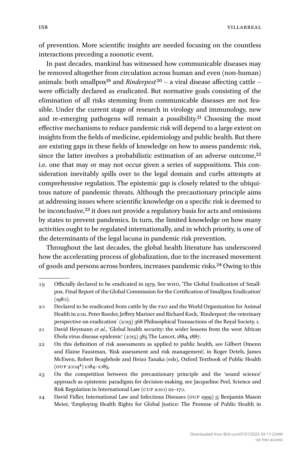of prevention. More scientific insights are needed focusing on the countless interactions preceding a zoonotic event.

In past decades, mankind has witnessed how communicable diseases may be removed altogether from circulation across human and even (non-human) animals: both smallpox<sup>19</sup> and *Rinderpest*<sup>20</sup> – a viral disease affecting cattle – were officially declared as eradicated. But normative goals consisting of the elimination of all risks stemming from communicable diseases are not feasible. Under the current stage of research in virology and immunology, new and re-emerging pathogens will remain a possibility.21 Choosing the most effective mechanisms to reduce pandemic risk will depend to a large extent on insights from the fields of medicine, epidemiology and public health. But there are existing gaps in these fields of knowledge on how to assess pandemic risk, since the latter involves a probabilistic estimation of an adverse outcome, $22$ i.e. one that may or may not occur given a series of suppositions. This consideration inevitably spills over to the legal domain and curbs attempts at comprehensive regulation. The epistemic gap is closely related to the ubiquitous nature of pandemic threats. Although the precautionary principle aims at addressing issues where scientific knowledge on a specific risk is deemed to be inconclusive,<sup>23</sup> it does not provide a regulatory basis for acts and omissions by states to prevent pandemics. In turn, the limited knowledge on how many activities ought to be regulated internationally, and in which priority, is one of the determinants of the legal lacuna in pandemic risk prevention.

Throughout the last decades, the global health literature has underscored how the accelerating process of globalization, due to the increased movement of goods and persons across borders, increases pandemic risks.24 Owing to this

<sup>19</sup> Officially declared to be eradicated in 1979. See who, 'The Global Eradication of Smallpox. Final Report of the Global Commission for the Certification of Smallpox Eradication'  $(1980)$ .

<sup>20</sup> Declared to be eradicated from cattle by the fao and the World Organization for Animal Health in 2011. Peter Roeder, Jeffrey Mariner and Richard Kock, ´Rinderpest: the veterinary perspective on eradication´ (2013) 368 Philosophical Transactions of the Royal Society, 1.

<sup>21</sup> David Heymann *et al.*, 'Global health security: the wider lessons from the west African Ebola virus disease epidemic' (2015) 385 The Lancet, 1884, 1887.

<sup>22</sup> On this definition of risk assessments as applied to public health, see Gilbert Omenn and Elaine Faustman, 'Risk assessment and risk management', in Roger Detels, James McEwen, Robert Beaglehole and Heizo Tanaka (eds), Oxford Textbook of Public Health (oup 20044) 1084–1085.

<sup>23</sup> On the competition between the precautionary principle and the 'sound science' approach as epistemic paradigms for decision-making, see Jacqueline Peel, Science and Risk Regulation in International Law (cup 2010) 111–170.

<sup>24</sup> David Fidler, International Law and Infectious Diseases (oup 1999) 5; Benjamin Mason Meier, 'Employing Health Rights for Global Justice: The Promise of Public Health in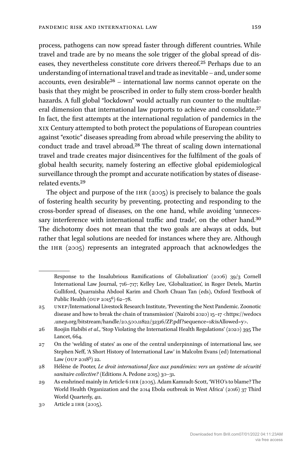process, pathogens can now spread faster through different countries. While travel and trade are by no means the sole trigger of the global spread of diseases, they nevertheless constitute core drivers thereof.25 Perhaps due to an understanding of international travel and trade as inevitable – and, under some accounts, even desirable<sup>26</sup> – international law norms cannot operate on the basis that they might be proscribed in order to fully stem cross-border health hazards. A full global "lockdown" would actually run counter to the multilateral dimension that international law purports to achieve and consolidate.27 In fact, the first attempts at the international regulation of pandemics in the xix Century attempted to both protect the populations of European countries against "exotic" diseases spreading from abroad while preserving the ability to conduct trade and travel abroad.28 The threat of scaling down international travel and trade creates major disincentives for the fulfilment of the goals of global health security, namely fostering an effective global epidemiological surveillance through the prompt and accurate notification by states of diseaserelated events.29

The object and purpose of the  $IHR$  (2005) is precisely to balance the goals of fostering health security by preventing, protecting and responding to the cross-border spread of diseases, on the one hand, while avoiding 'unnecessary interference with international traffic and trade', on the other hand.<sup>30</sup> The dichotomy does not mean that the two goals are always at odds, but rather that legal solutions are needed for instances where they are. Although the ihr (2005) represents an integrated approach that acknowledges the

Response to the Insalubrious Ramifications of Globalization' (2006) 39/3 Cornell International Law Journal, 716–717; Kelley Lee, 'Globalization', in Roger Detels, Martin Gulliford, Quarraisha Abdool Karim and Chorh Chuan Tan (eds), Oxford Textbook of Public Health ( $_{\rm{OUP}}$  2015 $_{\rm{6}}$ ) 62-78.

<sup>25</sup> unep/International Livestock Research Institute, 'Preventing the Next Pandemic. Zoonotic disease and how to break the chain of transmission' (Nairobi 2020) 15–17 <[https://wedocs](https://wedocs.unep.org/bitstream/handle/20.500.11822/32316/ZP.pdf?sequence=1&isAllowed=y) [.unep.org/bitstream/handle/20.500.11822/32316/ZP.pdf?sequence=1&isAllowed=y](https://wedocs.unep.org/bitstream/handle/20.500.11822/32316/ZP.pdf?sequence=1&isAllowed=y)>.

<sup>26</sup> Roojin Habibi *et al*., 'Stop Violating the International Health Regulations' (2020) 395 The Lancet, 664.

<sup>27</sup> On the 'welding of states' as one of the central underpinnings of international law, see Stephen Neff, 'A Short History of International Law' in Malcolm Evans (ed) International Law (OUP  $2018^5$ ) 22.

<sup>28</sup> Hélène de Pooter, *Le droit international face aux pandémies: vers un système de sécurité sanitaire collective?* (Editions A. Pedone 2015) 30–31.

<sup>29</sup> As enshrined mainly in Article 6 ihr (2005). Adam Kamradt-Scott, 'WHO's to blame? The World Health Organization and the 2014 Ebola outbreak in West Africa' (2016) 37 Third World Quarterly, 411.

<sup>30</sup> Article 2 ihr (2005).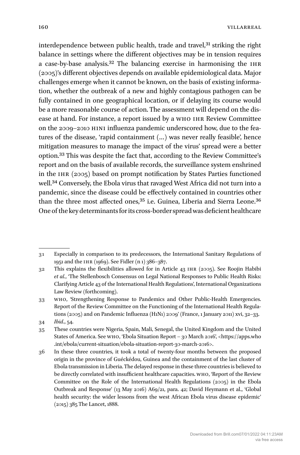interdependence between public health, trade and travel,<sup>31</sup> striking the right balance in settings where the different objectives may be in tension requires a case-by-base analysis.<sup>32</sup> The balancing exercise in harmonising the IHR (2005)'s different objectives depends on available epidemiological data. Major challenges emerge when it cannot be known, on the basis of existing information, whether the outbreak of a new and highly contagious pathogen can be fully contained in one geographical location, or if delaying its course would be a more reasonable course of action. The assessment will depend on the disease at hand. For instance, a report issued by a who ihr Review Committee on the 2009–2010 H1N1 influenza pandemic underscored how, due to the features of the disease, 'rapid containment (…) was never really feasible', hence mitigation measures to manage the impact of the virus' spread were a better option.33 This was despite the fact that, according to the Review Committee's report and on the basis of available records, the surveillance system enshrined in the IHR  $(2005)$  based on prompt notification by States Parties functioned well.34 Conversely, the Ebola virus that ravaged West Africa did not turn into a pandemic, since the disease could be effectively contained in countries other than the three most affected ones,<sup>35</sup> i.e. Guinea, Liberia and Sierra Leone.<sup>36</sup> One of the key determinants for its cross-border spread was deficient healthcare

<sup>31</sup> Especially in comparison to its predecessors, the International Sanitary Regulations of 1951 and the ihr (1969). See Fidler (n 1) 386–387.

<sup>32</sup> This explains the flexibilities allowed for in Article 43 ihr (2005). See Roojin Habibi *et al.*, 'The Stellenbosch Consensus on Legal National Responses to Public Health Risks: Clarifying Article 43 of the International Health Regulations', International Organizations Law Review (forthcoming).

<sup>33</sup> who, 'Strengthening Response to Pandemics and Other Public-Health Emergencies. Report of the Review Committee on the Functioning of the International Health Regulations (2005) and on Pandemic Influenza (H1N1) 2009' (France, 1 January 2011) xvi, 32–33. 34 *Ibid*., 54.

<sup>35</sup> These countries were Nigeria, Spain, Mali, Senegal, the United Kingdom and the United States of America. See who, 'Ebola Situation Report – 30 March 2016', [<https://apps.who](https://apps.who.int/ebola/current-situation/ebola-situation-report-30-march-2016) [.int/ebola/](https://apps.who.int/ebola/current-situation/ebola-situation-report-30-march-2016)current-situation/ebola-situation-report-30-march-2016>.

<sup>36</sup> In these three countries, it took a total of twenty-four months between the proposed origin in the province of Guéckédou, Guinea and the containment of the last cluster of Ebola transmission in Liberia. The delayed response in these three countries is believed to be directly correlated with insufficient healthcare capacities. who, 'Report of the Review Committee on the Role of the International Health Regulations (2005) in the Ebola Outbreak and Response' (13 May 2016) A69/21, para. 42; David Heymann et al., 'Global health security: the wider lessons from the west African Ebola virus disease epidemic' (2015) 385 The Lancet, 1888.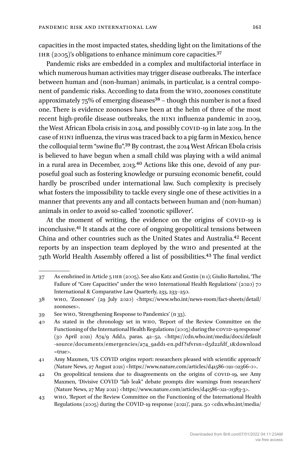capacities in the most impacted states, shedding light on the limitations of the IHR (2005)'s obligations to enhance minimum core capacities. $37$ 

Pandemic risks are embedded in a complex and multifactorial interface in which numerous human activities may trigger disease outbreaks. The interface between human and (non-human) animals, in particular, is a central component of pandemic risks. According to data from the who, zoonoses constitute approximately  $75\%$  of emerging diseases<sup>38</sup> – though this number is not a fixed one. There is evidence zoonoses have been at the helm of three of the most recent high-profile disease outbreaks, the H1N1 influenza pandemic in 2009, the West African Ebola crisis in 2014, and possibly COVID-19 in late 2019. In the case of H1N1 influenza, the virus was traced back to a pig farm in Mexico, hence the colloquial term "swine flu".39 By contrast, the 2014 West African Ebola crisis is believed to have begun when a small child was playing with a wild animal in a rural area in December, 2013.<sup>40</sup> Actions like this one, devoid of any purposeful goal such as fostering knowledge or pursuing economic benefit, could hardly be proscribed under international law. Such complexity is precisely what fosters the impossibility to tackle every single one of these activities in a manner that prevents any and all contacts between human and (non-human) animals in order to avoid so-called 'zoonotic spillover'.

At the moment of writing, the evidence on the origins of COVID-19 is inconclusive.41 It stands at the core of ongoing geopolitical tensions between China and other countries such as the United States and Australia.42 Recent reports by an inspection team deployed by the who and presented at the 74th World Health Assembly offered a list of possibilities.43 The final verdict

<sup>37</sup> As enshrined in Article 5 ihr (2005). See also Katz and Gostin (n 1); Giulio Bartolini, 'The Failure of "Core Capacities" under the who International Health Regulations' (2020) 70 International & Comparative Law Quarterly, 233, 233–250.

<sup>38</sup> who, 'Zoonoses' (29 July 2020) [<https://www.who.int/](https://www.who.int/news-room/fact-sheets/detail/zoonoses)news-room/fact-sheets/detail/ [zoonoses](https://www.who.int/news-room/fact-sheets/detail/zoonoses)>.

<sup>39</sup> See who, 'Strengthening Response to Pandemics' (n 33).

<sup>40</sup> As stated in the chronology set in who, 'Report of the Review Committee on the Functioning of the International Health Regulations (2005) during the COVID-19 response' (30 April 2021) A74/9 Add.1, paras. 42–52, [<https://cdn.who.int/media/docs/](https://cdn.who.int/media/docs/default-source/documents/emergencies/a74_9add1-en.pdf?sfvrsn=d5d22fdf_1&download=true)default -source[/documents/emergencies/a74\\_9add1-](https://cdn.who.int/media/docs/default-source/documents/emergencies/a74_9add1-en.pdf?sfvrsn=d5d22fdf_1&download=true)en.pdf?sfvrsn=d5d22fdf\_1&download [=true](https://cdn.who.int/media/docs/default-source/documents/emergencies/a74_9add1-en.pdf?sfvrsn=d5d22fdf_1&download=true)>.

<sup>41</sup> Amy Maxmen, 'US COVID origins report: researchers pleased with scientific approach' (Nature News, 27 August 2021) [<https://www.nature.com/articles/d41586-021-02366-0](https://www.nature.com/articles/d41586-021-02366-0)>.

<sup>42</sup> On geopolitical tensions due to disagreements on the origins of COVID-19, see Amy Maxmen, 'Divisive COVID "lab leak" debate prompts dire warnings from researchers' (Nature News, 27 May 2021) <<https://www.nature.com/articles/d41586-021-01383-3>>.

<sup>43</sup> who, 'Report of the Review Committee on the Functioning of the International Health Regulations (2005) during the COVID-19 response (2021)', para. 50 <cdn.who.int/media/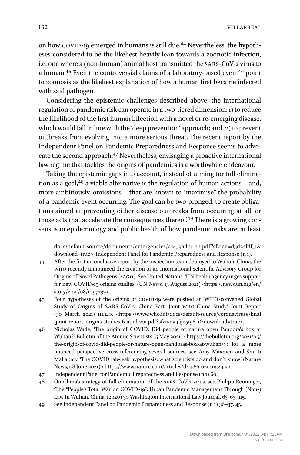on how COVID-19 emerged in humans is still due.<sup>44</sup> Nevertheless, the hypotheses considered to be the likeliest heavily lean towards a zoonotic infection, i.e. one where a (non-human) animal host transmitted the sars-CoV-2 virus to a human.<sup>45</sup> Even the controversial claims of a laboratory-based event<sup>46</sup> point to zoonosis as the likeliest explanation of how a human first became infected with said pathogen.

Considering the epistemic challenges described above, the international regulation of pandemic risk can operate in a two-tiered dimension: 1) to reduce the likelihood of the first human infection with a novel or re-emerging disease, which would fall in line with the 'deep prevention' approach; and, 2) to prevent outbreaks from evolving into a more serious threat. The recent report by the Independent Panel on Pandemic Preparedness and Response seems to advocate the second approach.47 Nevertheless, envisaging a proactive international law regime that tackles the origins of pandemics is a worthwhile endeavour.

Taking the epistemic gaps into account, instead of aiming for full elimination as a goal, $48$  a viable alternative is the regulation of human actions – and, more ambitiously, omissions – that are known to "maximise" the probability of a pandemic event occurring. The goal can be two-pronged: to create obligations aimed at preventing either disease outbreaks from occurring at all, or those acts that accelerate the consequences thereof.<sup>49</sup> There is a growing consensus in epidemiology and public health of how pandemic risks are, at least

docs/default-source/documents/emergencies/a74\_9add1-en.pdf?sfvrsn=d5d22fdf\_1& download=true>; Independent Panel for Pandemic Preparedness and Response (n 1).

- 44 After the first inconclusive report by the inspection team deployed to Wuhan, China, the who recently announced the creation of an International Scientific Advisory Group for Origins of Novel Pathogens (sago). See United Nations, 'UN health agency urges support for new COVID-19 origins studies' (UN News, 13 August 2021) <[https://news.un.org/en/](https://news.un.org/en/story/2021/08/1097732) [story/2021/08/1097732](https://news.un.org/en/story/2021/08/1097732)>.
- 45 Four hypotheses of the origins of covid-19 were posited at 'WHO-convened Global Study of Origins of SARS-CoV-2: China Part. Joint who-China Study', Joint Report (30 March 2021) 111.120, <[https://www.who.int/docs/](https://www.who.int/docs/default-source/coronaviruse/final-joint-report_origins-studies-6-april-201.pdf?sfvrsn=4f5e5196_1&download=true)default-source/coronaviruse/final -joint-report\_origins-studies-6-april[-201.pdf?sfvrsn=4f5e5196\\_1&download=true](https://www.who.int/docs/default-source/coronaviruse/final-joint-report_origins-studies-6-april-201.pdf?sfvrsn=4f5e5196_1&download=true)>.
- 46 Nicholas Wade, 'The origin of COVID: Did people or nature open Pandora's box at Wuhan?', Bulletin of the Atomic Scientists (5 May 2021) <[https://thebulletin.org/2021/05/](https://thebulletin.org/2021/05/the-origin-of-covid-did-people-or-nature-open-pandoras-box-at-wuhan/) the-origin-of-covid-did-people-or-nature-open-[pandoras](https://thebulletin.org/2021/05/the-origin-of-covid-did-people-or-nature-open-pandoras-box-at-wuhan/)-box-at-wuhan/>; for a more nuanced perspective cross-referencing several sources, see Amy Maxmen and Smriti Mallapaty, 'The COVID lab-leak hypothesis: what scientists do and don´t know' (Nature News, 08 June 2021) [<https://www.nature.com/articles/d41586-021-01529-3](https://www.nature.com/articles/d41586-021-01529-3)>.

47 Independent Panel for Pandemic Preparedness and Response (n 1) 60.

<sup>48</sup> On China's strategy of full elimination of the sars-CoV-2 virus, see Philipp Renninger, 'The "People's Total War on COVID-19": Urban Pandemic Management Through (Non-) Law in Wuhan, China' (2020) 30 Washington International Law Journal, 63, 63–115.

<sup>49</sup> See Independent Panel on Pandemic Preparedness and Response (n 1) 36–37, 45.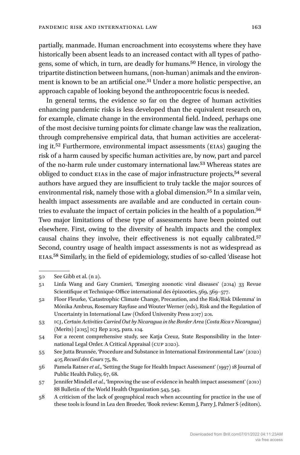partially, manmade. Human encroachment into ecosystems where they have historically been absent leads to an increased contact with all types of pathogens, some of which, in turn, are deadly for humans.50 Hence, in virology the tripartite distinction between humans, (non-human) animals and the environment is known to be an artificial one.<sup>51</sup> Under a more holistic perspective, an approach capable of looking beyond the anthropocentric focus is needed.

In general terms, the evidence so far on the degree of human activities enhancing pandemic risks is less developed than the equivalent research on, for example, climate change in the environmental field. Indeed, perhaps one of the most decisive turning points for climate change law was the realization, through comprehensive empirical data, that human activities are accelerating it.52 Furthermore, environmental impact assessments (EIAs) gauging the risk of a harm caused by specific human activities are, by now, part and parcel of the no-harm rule under customary international law.<sup>53</sup> Whereas states are obliged to conduct EIAs in the case of major infrastructure projects,54 several authors have argued they are insufficient to truly tackle the major sources of environmental risk, namely those with a global dimension.<sup>55</sup> In a similar vein, health impact assessments are available and are conducted in certain countries to evaluate the impact of certain policies in the health of a population.56 Two major limitations of these type of assessments have been pointed out elsewhere. First, owing to the diversity of health impacts and the complex causal chains they involve, their effectiveness is not equally calibrated.57 Second, country usage of health impact assessments is not as widespread as EIAs.58 Similarly, in the field of epidemiology, studies of so-called 'disease hot

<sup>50</sup> See Gibb et al. (n 2).

<sup>51</sup> Linfa Wang and Gary Cramieri, 'Emerging zoonotic viral diseases' (2014) 33 Revue Scientifique et Technique-Office international des épizooties, 569, 569–577.

<sup>52</sup> Floor Fleurke, 'Catastrophic Climate Change, Precaution, and the Risk/Risk Dilemma' in Mónika Ambrus, Rosemary Rayfuse and Wouter Werner (eds), Risk and the Regulation of Uncertainty in International Law (Oxford University Press 2017) 201.

<sup>53</sup> icj, *Certain Activities Carried Out by Nicaragua in the Border Area (Costa Rica v Nicaragua)* (Merits) [2015] icj Rep 2015, para. 104.

<sup>54</sup> For a recent comprehensive study, see Katja Creuz, State Responsibility in the International Legal Order. A Critical Appraisal (cup 2020).

<sup>55</sup> See Jutta Brunnée, 'Procedure and Substance in International Environmental Law' (2020) 405 *Recueil des Cours* 75, 81.

<sup>56</sup> Pamela Ratner *et al*., 'Setting the Stage for Health Impact Assessment' (1997) 18 Journal of Public Health Policy, 67, 68.

<sup>57</sup> Jennifer Mindell *et al.*, 'Improving the use of evidence in health impact assessment' (2010) 88 Bulletin of the World Health Organization 543, 543.

<sup>58</sup> A criticism of the lack of geographical reach when accounting for practice in the use of these tools is found in Lea den Broeder, 'Book review: Kemm J, Parry J, Palmer S (editors).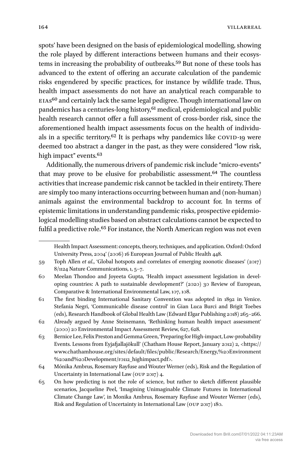spots' have been designed on the basis of epidemiological modelling, showing the role played by different interactions between humans and their ecosystems in increasing the probability of outbreaks.59 But none of these tools has advanced to the extent of offering an accurate calculation of the pandemic risks engendered by specific practices, for instance by wildlife trade. Thus, health impact assessments do not have an analytical reach comparable to EIAs60 and certainly lack the same legal pedigree. Though international law on pandemics has a centuries-long history,61 medical, epidemiological and public health research cannot offer a full assessment of cross-border risk, since the aforementioned health impact assessments focus on the health of individuals in a specific territory. $62$  It is perhaps why pandemics like COVID-19 were deemed too abstract a danger in the past, as they were considered "low risk, high impact" events.<sup>63</sup>

Additionally, the numerous drivers of pandemic risk include "micro-events" that may prove to be elusive for probabilistic assessment.<sup>64</sup> The countless activities that increase pandemic risk cannot be tackled in their entirety. There are simply too many interactions occurring between human and (non-human) animals against the environmental backdrop to account for. In terms of epistemic limitations in understanding pandemic risks, prospective epidemiological modelling studies based on abstract calculations cannot be expected to fulfil a predictive role.<sup>65</sup> For instance, the North American region was not even

Health Impact Assessment: concepts, theory, techniques, and application. Oxford: Oxford University Press, 2004' (2006) 16 European Journal of Public Health 448.

<sup>59</sup> Toph Allen *et al*., 'Global hotspots and correlates of emerging zoonotic diseases' (2017) 8/1124 Nature Communications, 1, 5–7.

<sup>60</sup> Meelan Thondoo and Joyeeta Gupta, 'Health impact assessment legislation in developing countries: A path to sustainable development?' (2020) 30 Review of European, Comparative & International Environmental Law, 107, 108.

<sup>61</sup> The first binding International Sanitary Convention was adopted in 1892 in Venice. Stefania Negri, 'Communicable disease control' in Gian Luca Burci and Brigit Toebes (eds), Research Handbook of Global Health Law (Edward Elgar Publishing 2018) 265–266.

<sup>62</sup> Already argued by Anne Steinemann, 'Rethinking human health impact assessment' (2000) 20 Environmental Impact Assessment Review, 627, 628.

<sup>63</sup> Bernice Lee, Felix Preston and Gemma Green, 'Preparing for High-impact, Low-probability Events. Lessons from Eyjafjallajökull' (Chatham House Report, January 2012) 2, [<https://](https://www.chathamhouse.org/sites/default/files/public/Research/Energy) [www.chathamhouse.org/sites/default/files/public/Research/Energy](https://www.chathamhouse.org/sites/default/files/public/Research/Energy),%20Environment %20and%20Development/r0112\_highimpact.pdf>.

<sup>64</sup> Mónika Ambrus, Rosemary Rayfuse and Wouter Werner (eds), Risk and the Regulation of Uncertainty in International Law (oup 2017) 4.

<sup>65</sup> On how predicting is not the role of science, but rather to sketch different plausible scenarios, Jacqueline Peel, 'Imagining Unimaginable Climate Futures in International Climate Change Law', in Monika Ambrus, Rosemary Rayfuse and Wouter Werner (eds), Risk and Regulation of Uncertainty in International Law (oup 2017) 180.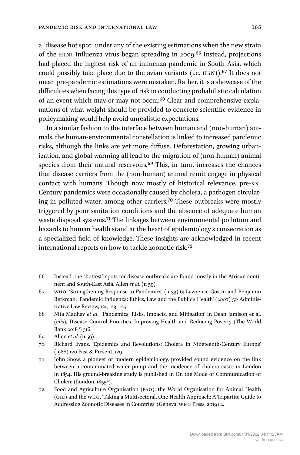a "disease hot spot" under any of the existing estimations when the new strain of the H1N1 influenza virus began spreading in 2009.66 Instead, projections had placed the highest risk of an influenza pandemic in South Asia, which could possibly take place due to the avian variants (i.e. H5N1).67 It does not mean pre-pandemic estimations were mistaken. Rather, it is a showcase of the difficulties when facing this type of risk in conducting probabilistic calculation of an event which may or may not occur.68 Clear and comprehensive explanations of what weight should be provided to concrete scientific evidence in policymaking would help avoid unrealistic expectations.

In a similar fashion to the interface between human and (non-human) animals, the human-environmental constellation is linked to increased pandemic risks, although the links are yet more diffuse. Deforestation, growing urbanization, and global warming all lead to the migration of (non-human) animal species from their natural reservoirs.<sup>69</sup> This, in turn, increases the chances that disease carriers from the (non-human) animal remit engage in physical contact with humans. Though now mostly of historical relevance, pre-xxi Century pandemics were occasionally caused by cholera, a pathogen circulating in polluted water, among other carriers.70 These outbreaks were mostly triggered by poor sanitation conditions and the absence of adequate human waste disposal systems.71 The linkages between environmental pollution and hazards to human health stand at the heart of epidemiology's consecration as a specialized field of knowledge. These insights are acknowledged in recent international reports on how to tackle zoonotic risk.72

<sup>66</sup> Instead, the "hottest" spots for disease outbreaks are found mostly in the African continent and South-East Asia. Allen *et al*. (n 59).

<sup>67</sup> who, 'Strengthening Response to Pandemics' (n 33) 6; Lawrence Gostin and Benjamin Berkman, 'Pandemic Influenza: Ethics, Law and the Public's Health' (2007) 50 Administrative Law Review, 121, 123–125.

<sup>68</sup> Nita Madhav *et al*., 'Pandemics: Risks, Impacts, and Mitigation' in Dean Jamison et al. (eds), Disease Control Priorities. Improving Health and Reducing Poverty (The World Bank 20183) 316.

<sup>69</sup> Allen *et al*. (n 59).

<sup>70</sup> Richard Evans, 'Epidemics and Revolutions: Cholera in Nineteenth-Century Europe' (1988) 120 Past & Present, 129.

<sup>71</sup> John Snow, a pioneer of modern epidemiology, provided sound evidence on the link between a contaminated water pump and the incidence of cholera cases in London in 1854. His ground-breaking study is published in On the Mode of Communication of Cholera (London, 1855<sup>2</sup>).

<sup>72</sup> Food and Agriculture Organisation (fao), the World Organisation for Animal Health (oie) and the who, 'Taking a Multisectoral, One Health Approach: A Tripartite Guide to Addressing Zoonotic Diseases in Countries' (Geneva: who Press, 2019) 2.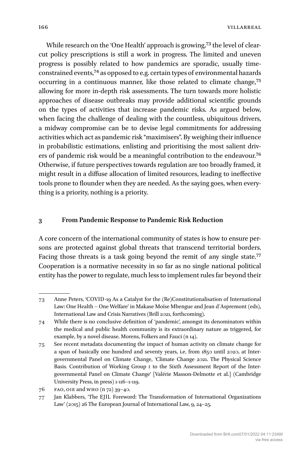While research on the 'One Health' approach is growing,<sup>73</sup> the level of clearcut policy prescriptions is still a work in progress. The limited and uneven progress is possibly related to how pandemics are sporadic, usually timeconstrained events,74 as opposed to e.g. certain types of environmental hazards occurring in a continuous manner, like those related to climate change,75 allowing for more in-depth risk assessments. The turn towards more holistic approaches of disease outbreaks may provide additional scientific grounds on the types of activities that increase pandemic risks. As argued below, when facing the challenge of dealing with the countless, ubiquitous drivers, a midway compromise can be to devise legal commitments for addressing activities which act as pandemic risk "maximisers". By weighing their influence in probabilistic estimations, enlisting and prioritising the most salient drivers of pandemic risk would be a meaningful contribution to the endeavour.76 Otherwise, if future perspectives towards regulation are too broadly framed, it might result in a diffuse allocation of limited resources, leading to ineffective tools prone to flounder when they are needed. As the saying goes, when everything is a priority, nothing is a priority.

#### **3 From Pandemic Response to Pandemic Risk Reduction**

A core concern of the international community of states is how to ensure persons are protected against global threats that transcend territorial borders. Facing those threats is a task going beyond the remit of any single state.<sup>77</sup> Cooperation is a normative necessity in so far as no single national political entity has the power to regulate, much less to implement rules far beyond their

<sup>73</sup> Anne Peters, 'COVID-19 As a Catalyst for the (Re)Constitutionalisation of International Law: One Health – One Welfare' in Makase Moïse Mbengue and Jean d´Aspremont (eds), International Law and Crisis Narratives (Brill 2021, forthcoming).

<sup>74</sup> While there is no conclusive definition of 'pandemic', amongst its denominators within the medical and public health community is its extraordinary nature as triggered, for example, by a novel disease. Morens, Folkers and Fauci (n 14).

<sup>75</sup> See recent metadata documenting the impact of human activity on climate change for a span of basically one hundred and seventy years, i.e. from 1850 until 2020, at Intergovernmental Panel on Climate Change, 'Climate Change 2021. The Physical Science Basis. Contribution of Working Group i to the Sixth Assessment Report of the Intergovernmental Panel on Climate Change' [Valérie Masson-Delmotte et al.] (Cambridge University Press, in press) 1-116–1-119.

<sup>76</sup> fao, oie and who (n 72) 39–40.

<sup>77</sup> Jan Klabbers, 'The EJIL Foreword: The Transformation of International Organizations Law' (2015) 26 The European Journal of International Law, 9, 24–25.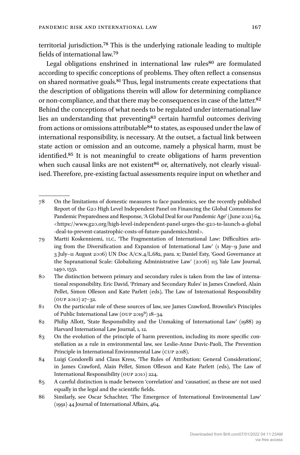territorial jurisdiction.78 This is the underlying rationale leading to multiple fields of international law.79

Legal obligations enshrined in international law rules<sup>80</sup> are formulated according to specific conceptions of problems. They often reflect a consensus on shared normative goals.81 Thus, legal instruments create expectations that the description of obligations therein will allow for determining compliance or non-compliance, and that there may be consequences in case of the latter.<sup>82</sup> Behind the conceptions of what needs to be regulated under international law lies an understanding that preventing<sup>83</sup> certain harmful outcomes deriving from actions or omissions attributable<sup>84</sup> to states, as espoused under the law of international responsibility, is necessary. At the outset, a factual link between state action or omission and an outcome, namely a physical harm, must be identified.85 It is not meaningful to create obligations of harm prevention when such causal links are not existent<sup>86</sup> or, alternatively, not clearly visualised. Therefore, pre-existing factual assessments require input on whether and

<sup>78</sup> On the limitations of domestic measures to face pandemics, see the recently published Report of the G20 High Level Independent Panel on Financing the Global Commons for Pandemic Preparedness and Response, 'A Global Deal for our Pandemic Age' (June 2021) 64, <[https://www.g20.org/](https://www.g20.org/high-level-independent-panel-urges-the-g20-to-launch-a-global-deal-to-prevent-catastrophic-costs-of-future-pandemics.html)high-level-independent-panel-urges-the-g20-to-launch-a-global -deal-to-prevent-catastrophic-costs-of-future-[pandemics.html>](https://www.g20.org/high-level-independent-panel-urges-the-g20-to-launch-a-global-deal-to-prevent-catastrophic-costs-of-future-pandemics.html).

<sup>79</sup> Martti Koskenniemi, ilc, 'The Fragmentation of International Law: Difficulties arising from the Diversification and Expansion of International Law' (1 May–9 June and 3 July–11 August 2006) UN Doc A/cn.4/L.682, para. x; Daniel Esty, 'Good Governance at the Supranational Scale: Globalizing Administrative Law' (2006) 115 Yale Law Journal, 1490, 1551.

<sup>80</sup> The distinction between primary and secondary rules is taken from the law of international responsibility. Eric David, 'Primary and Secondary Rules' in James Crawford, Alain Pellet, Simon Olleson and Kate Parlett (eds), The Law of International Responsibility (oup 2010) 27–32.

<sup>81</sup> On the particular role of these sources of law, see James Crawford, Brownlie's Principles of Public International Law (OUP 2019<sup>9</sup>) 18-34.

<sup>82</sup> Philip Allott, 'State Responsibility and the Unmaking of International Law' (1988) 29 Harvard International Law Journal, 1, 12.

<sup>83</sup> On the evolution of the principle of harm prevention, including its more specific constellation as a rule in environmental law, see Leslie-Anne Duvic-Paoli, The Prevention Principle in International Environmental Law (cup 2018).

<sup>84</sup> Luigi Condorelli and Claus Kress, 'The Rules of Attribution: General Considerations', in James Crawford, Alain Pellet, Simon Olleson and Kate Parlett (eds), The Law of International Responsibility (oup 2010) 224.

<sup>85</sup> A careful distinction is made between 'correlation' and 'causation', as these are not used equally in the legal and the scientific fields.

<sup>86</sup> Similarly, see Oscar Schachter, 'The Emergence of International Environmental Law' (1991) 44 Journal of International Affairs, 464.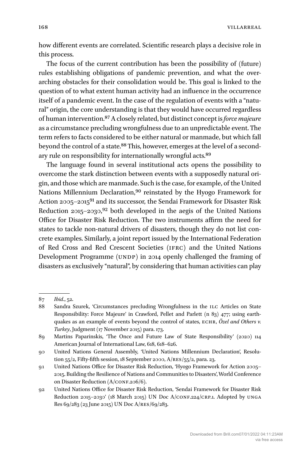how different events are correlated. Scientific research plays a decisive role in this process.

The focus of the current contribution has been the possibility of (future) rules establishing obligations of pandemic prevention, and what the overarching obstacles for their consolidation would be. This goal is linked to the question of to what extent human activity had an influence in the occurrence itself of a pandemic event. In the case of the regulation of events with a "natural" origin, the core understanding is that they would have occurred regardless of human intervention.87 A closely related, but distinct concept is *force majeure* as a circumstance precluding wrongfulness due to an unpredictable event. The term refers to facts considered to be either natural or manmade, but which fall beyond the control of a state.<sup>88</sup> This, however, emerges at the level of a secondary rule on responsibility for internationally wrongful acts.<sup>89</sup>

The language found in several institutional acts opens the possibility to overcome the stark distinction between events with a supposedly natural origin, and those which are manmade. Such is the case, for example, of the United Nations Millennium Declaration,<sup>90</sup> reinstated by the Hyogo Framework for Action 2005–2015<sup>91</sup> and its successor, the Sendai Framework for Disaster Risk Reduction  $2015-2030$ ,<sup>92</sup> both developed in the aegis of the United Nations Office for Disaster Risk Reduction. The two instruments affirm the need for states to tackle non-natural drivers of disasters, though they do not list concrete examples. Similarly, a joint report issued by the International Federation of Red Cross and Red Crescent Societies (ifrc) and the United Nations Development Programme (UNDP) in 2014 openly challenged the framing of disasters as exclusively "natural", by considering that human activities can play

<sup>87</sup> *Ibid*., 52.

<sup>88</sup> Sandra Szurek, 'Circumstances precluding Wrongfulness in the ilc Articles on State Responsibility: Force Majeure' in Crawford, Pellet and Parlett (n 83) 477; using earthquakes as an example of events beyond the control of states, ECHR, Özel and Others v. *Turkey*, Judgment (17 November 2015) para. 173.

<sup>89</sup> Martins Paparinskis, 'The Once and Future Law of State Responsibility' (2020) 114 American Journal of International Law, 618, 618–626.

<sup>90</sup> United Nations General Assembly, 'United Nations Millennium Declaration', Resolution 55/2, Fifty-fifth session, 18 September 2000,  $A/RES/55/2$ , para. 23.

<sup>91</sup> United Nations Office for Disaster Risk Reduction, 'Hyogo Framework for Action 2005– 2015. Building the Resilience of Nations and Communities to Disasters', World Conference on Disaster Reduction (A/CONF.206/6).

<sup>92</sup> United Nations Office for Disaster Risk Reduction, 'Sendai Framework for Disaster Risk Reduction 2015–2030' (18 March 2015) UN Doc A/CONF.224/CRP.1. Adopted by UNGA Res 69/283 (23 June 2015) UN Doc A/res/69/283.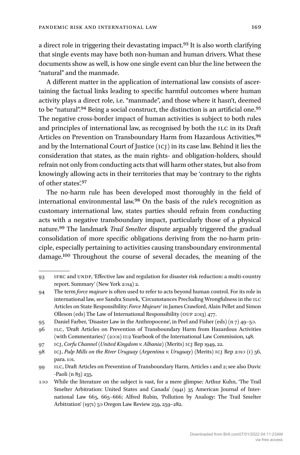a direct role in triggering their devastating impact.<sup>93</sup> It is also worth clarifying that single events may have both non-human and human drivers. What these documents show as well, is how one single event can blur the line between the "natural" and the manmade.

A different matter in the application of international law consists of ascertaining the factual links leading to specific harmful outcomes where human activity plays a direct role, i.e. "manmade", and those where it hasn't, deemed to be "natural".94 Being a social construct, the distinction is an artificial one.95 The negative cross-border impact of human activities is subject to both rules and principles of international law, as recognised by both the ILC in its Draft Articles on Prevention on Transboundary Harm from Hazardous Activities, 96 and by the International Court of Justice (icj) in its case law. Behind it lies the consideration that states, as the main rights- and obligation-holders, should refrain not only from conducting acts that will harm other states, but also from knowingly allowing acts in their territories that may be 'contrary to the rights of other states'.97

The no-harm rule has been developed most thoroughly in the field of international environmental law.98 On the basis of the rule's recognition as customary international law, states parties should refrain from conducting acts with a negative transboundary impact, particularly those of a physical nature.99 The landmark *Trail Smelter* dispute arguably triggered the gradual consolidation of more specific obligations deriving from the no-harm principle, especially pertaining to activities causing transboundary environmental damage.100 Throughout the course of several decades, the meaning of the

<sup>93</sup> ifrc and undp, 'Effective law and regulation for disaster risk reduction: a multi-country report. Summary' (New York 2014) 2.

<sup>94</sup> The term *force majeure* is often used to refer to acts beyond human control. For its role in international law, see Sandra Szurek, 'Circumstances Precluding Wrongfulness in the ILC Articles on State Responsibility: *Force Majeure*' in James Crawford, Alain Pellet and Simon Olleson (eds) The Law of International Responsibility (oup 2013) 477.

<sup>95</sup> Daniel Farber, 'Disaster Law in the Anthropocene', in Peel and Fisher (eds) (n 7) 49–50.

<sup>96</sup> ilc, 'Draft Articles on Prevention of Transboundary Harm from Hazardous Activities (with Commentaries)' (2001) II:2 Yearbook of the International Law Commission, 148.

<sup>97</sup> icj, *Corfu Channel* (*United Kingdom v. Albania*) (Merits) icj Rep 1949, 22.

<sup>98</sup> icj, *Pulp Mills on the River Uruguay* (*Argentina v. Uruguay*) (Merits) icj Rep 2010 (i) 56, para. 101.

<sup>99</sup> ilc, Draft Articles on Prevention of Transboundary Harm, Articles 1 and 2; see also Duvic -Paoli (n 83) 235.

<sup>100</sup> While the literature on the subject is vast, for a mere glimpse: Arthur Kuhn, 'The Trail Smelter Arbitration: United States and Canada' (1941) 35 American Journal of International Law 665, 665–666; Alfred Rubin, 'Pollution by Analogy: The Trail Smelter Arbitration' (1971) 50 Oregon Law Review 259, 259–282.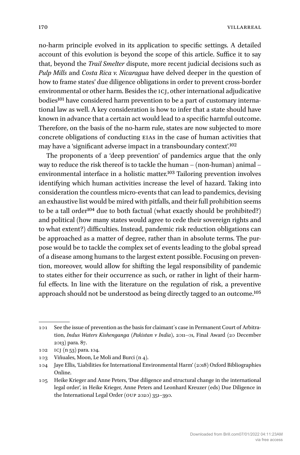no-harm principle evolved in its application to specific settings. A detailed account of this evolution is beyond the scope of this article. Suffice it to say that, beyond the *Trail Smelter* dispute, more recent judicial decisions such as *Pulp Mills* and *Costa Rica v. Nicaragua* have delved deeper in the question of how to frame states' due diligence obligations in order to prevent cross-border environmental or other harm. Besides the ICJ, other international adjudicative bodies101 have considered harm prevention to be a part of customary international law as well. A key consideration is how to infer that a state should have known in advance that a certain act would lead to a specific harmful outcome. Therefore, on the basis of the no-harm rule, states are now subjected to more concrete obligations of conducting EIAs in the case of human activities that may have a 'significant adverse impact in a transboundary context'.102

The proponents of a 'deep prevention' of pandemics argue that the only way to reduce the risk thereof is to tackle the human – (non-human) animal – environmental interface in a holistic matter.<sup>103</sup> Tailoring prevention involves identifying which human activities increase the level of hazard. Taking into consideration the countless micro-events that can lead to pandemics, devising an exhaustive list would be mired with pitfalls, and their full prohibition seems to be a tall order<sup>104</sup> due to both factual (what exactly should be prohibited?) and political (how many states would agree to cede their sovereign rights and to what extent?) difficulties. Instead, pandemic risk reduction obligations can be approached as a matter of degree, rather than in absolute terms. The purpose would be to tackle the complex set of events leading to the global spread of a disease among humans to the largest extent possible. Focusing on prevention, moreover, would allow for shifting the legal responsibility of pandemic to states either for their occurrence as such, or rather in light of their harmful effects. In line with the literature on the regulation of risk, a preventive approach should not be understood as being directly tagged to an outcome.105

<sup>101</sup> See the issue of prevention as the basis for claimant´s case in Permanent Court of Arbitration, *Indus Waters Kishenganga* (*Pakistan v India*), 2011–01, Final Award (20 December 2013) para. 87.

<sup>102</sup> icj (n 53) para. 104.

<sup>103</sup> Viñuales, Moon, Le Moli and Burci (n 4).

<sup>104</sup> Jaye Ellis, 'Liabilities for International Environmental Harm' (2018) Oxford Bibliographies Online.

<sup>105</sup> Heike Krieger and Anne Peters, 'Due diligence and structural change in the international legal order', in Heike Krieger, Anne Peters and Leonhard Kreuzer (eds) Due Diligence in the International Legal Order (oup 2020) 351–390.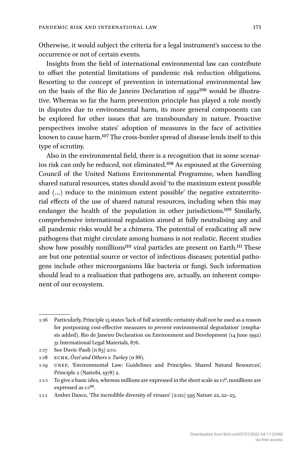Otherwise, it would subject the criteria for a legal instrument's success to the occurrence or not of certain events.

Insights from the field of international environmental law can contribute to offset the potential limitations of pandemic risk reduction obligations. Resorting to the concept of prevention in international environmental law on the basis of the Rio de Janeiro Declaration of 1992<sup>106</sup> would be illustrative. Whereas so far the harm prevention principle has played a role mostly in disputes due to environmental harm, its more general components can be explored for other issues that are transboundary in nature. Proactive perspectives involve states' adoption of measures in the face of activities known to cause harm.107 The cross-border spread of disease lends itself to this type of scrutiny.

Also in the environmental field, there is a recognition that in some scenarios risk can only be reduced, not eliminated.108 As espoused at the Governing Council of the United Nations Environmental Programme, when handling shared natural resources, states should avoid 'to the maximum extent possible and (…) reduce to the minimum extent possible' the negative extraterritorial effects of the use of shared natural resources, including when this may endanger the health of the population in other jurisdictions.109 Similarly, comprehensive international regulation aimed at fully neutralising any and all pandemic risks would be a chimera. The potential of eradicating all new pathogens that might circulate among humans is not realistic. Recent studies show how possibly nonillions<sup>110</sup> viral particles are present on Earth.<sup>111</sup> These are but one potential source or vector of infectious diseases; potential pathogens include other microorganisms like bacteria or fungi. Such information should lead to a realisation that pathogens are, actually, an inherent component of our ecosystem.

<sup>106</sup> Particularly, Principle 15 states 'lack of full scientific certainty shall not be used as a reason for postponing cost-effective measures to *prevent* environmental degradation' (emphasis added). Rio de Janeiro Declaration on Environment and Development (14 June 1992) 31 International Legal Materials, 876.

<sup>107</sup> See Duvic-Paoli (n 83) 200.

<sup>108</sup> echr, *Özel and Others v. Turkey* (n 88).

<sup>109</sup> unep, 'Environmental Law: Guidelines and Principles. Shared Natural Resources', Principle 2 (Nairobi, 1978) 2.

<sup>110</sup> To give a basic idea, whereas millions are expressed in the short scale as  $10^6$ , nonillions are expressed as  $10^{30}$ .

<sup>111</sup> Amber Dance, 'The incredible diversity of viruses' (2021) 595 Nature 22, 22–25.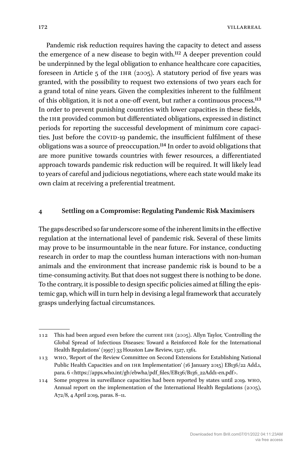172 VILLARREAL

Pandemic risk reduction requires having the capacity to detect and assess the emergence of a new disease to begin with.112 A deeper prevention could be underpinned by the legal obligation to enhance healthcare core capacities, foreseen in Article 5 of the ihr (2005). A statutory period of five years was granted, with the possibility to request two extensions of two years each for a grand total of nine years. Given the complexities inherent to the fulfilment of this obligation, it is not a one-off event, but rather a continuous process.113 In order to prevent punishing countries with lower capacities in these fields, the ihr provided common but differentiated obligations, expressed in distinct periods for reporting the successful development of minimum core capacities. Just before the COVID-19 pandemic, the insufficient fulfilment of these obligations was a source of preoccupation.114 In order to avoid obligations that are more punitive towards countries with fewer resources, a differentiated approach towards pandemic risk reduction will be required. It will likely lead to years of careful and judicious negotiations, where each state would make its own claim at receiving a preferential treatment.

### **4 Settling on a Compromise: Regulating Pandemic Risk Maximisers**

The gaps described so far underscore some of the inherent limits in the effective regulation at the international level of pandemic risk. Several of these limits may prove to be insurmountable in the near future. For instance, conducting research in order to map the countless human interactions with non-human animals and the environment that increase pandemic risk is bound to be a time-consuming activity. But that does not suggest there is nothing to be done. To the contrary, it is possible to design specific policies aimed at filling the epistemic gap, which will in turn help in devising a legal framework that accurately grasps underlying factual circumstances.

<sup>112</sup> This had been argued even before the current ihr (2005). Allyn Taylor, 'Controlling the Global Spread of Infectious Diseases: Toward a Reinforced Role for the International Health Regulations' (1997) 33 Houston Law Review, 1327, 1361.

<sup>113</sup> who, 'Report of the Review Committee on Second Extensions for Establishing National Public Health Capacities and on IHR Implementation' (16 January 2015) EB136/22 Add.1, para. 6 <[https://apps.who.int/gb/ebwha/pdf\\_files/EB136/B136\\_22Add1-](https://apps.who.int/gb/ebwha/pdf_files/EB136/B136_22Add1-en.pdf)en.pdf>.

<sup>114</sup> Some progress in surveillance capacities had been reported by states until 2019. who, Annual report on the implementation of the International Health Regulations (2005), A72/8, 4 April 2019, paras. 8–11.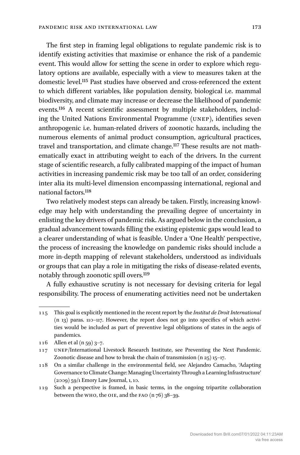The first step in framing legal obligations to regulate pandemic risk is to identify existing activities that maximise or enhance the risk of a pandemic event. This would allow for setting the scene in order to explore which regulatory options are available, especially with a view to measures taken at the domestic level.115 Past studies have observed and cross-referenced the extent to which different variables, like population density, biological i.e. mammal biodiversity, and climate may increase or decrease the likelihood of pandemic events.116 A recent scientific assessment by multiple stakeholders, including the United Nations Environmental Programme (unep), identifies seven anthropogenic i.e. human-related drivers of zoonotic hazards, including the numerous elements of animal product consumption, agricultural practices, travel and transportation, and climate change.<sup>117</sup> These results are not mathematically exact in attributing weight to each of the drivers. In the current stage of scientific research, a fully calibrated mapping of the impact of human activities in increasing pandemic risk may be too tall of an order, considering inter alia its multi-level dimension encompassing international, regional and national factors.118

Two relatively modest steps can already be taken. Firstly, increasing knowledge may help with understanding the prevailing degree of uncertainty in enlisting the key drivers of pandemic risk. As argued below in the conclusion, a gradual advancement towards filling the existing epistemic gaps would lead to a clearer understanding of what is feasible. Under a 'One Health' perspective, the process of increasing the knowledge on pandemic risks should include a more in-depth mapping of relevant stakeholders, understood as individuals or groups that can play a role in mitigating the risks of disease-related events, notably through zoonotic spill overs.119

A fully exhaustive scrutiny is not necessary for devising criteria for legal responsibility. The process of enumerating activities need not be undertaken

119 Such a perspective is framed, in basic terms, in the ongoing tripartite collaboration between the who, the OIE, and the FAO  $(n 76)$  38–39.

<sup>115</sup> This goal is explicitly mentioned in the recent report by the *Institut de Droit International* (n 13) paras. 110–117. However, the report does not go into specifics of which activities would be included as part of preventive legal obligations of states in the aegis of pandemics.

<sup>116</sup> Allen et al (n 59) 3–7.

<sup>117</sup> UNEP/International Livestock Research Institute, see Preventing the Next Pandemic. Zoonotic disease and how to break the chain of transmission (n 25) 15–17.

<sup>118</sup> On a similar challenge in the environmental field, see Alejandro Camacho, 'Adapting Governance to Climate Change: Managing Uncertainty Through a Learning Infrastructure' (2009) 59/1 Emory Law Journal, 1, 10.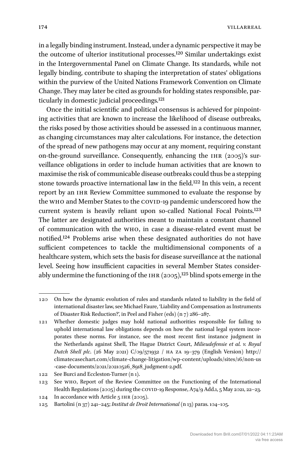in a legally binding instrument. Instead, under a dynamic perspective it may be the outcome of ulterior institutional processes.120 Similar undertakings exist in the Intergovernmental Panel on Climate Change. Its standards, while not legally binding, contribute to shaping the interpretation of states' obligations within the purview of the United Nations Framework Convention on Climate Change. They may later be cited as grounds for holding states responsible, particularly in domestic judicial proceedings.121

Once the initial scientific and political consensus is achieved for pinpointing activities that are known to increase the likelihood of disease outbreaks, the risks posed by those activities should be assessed in a continuous manner, as changing circumstances may alter calculations. For instance, the detection of the spread of new pathogens may occur at any moment, requiring constant on-the-ground surveillance. Consequently, enhancing the ihr (2005)'s surveillance obligations in order to include human activities that are known to maximise the risk of communicable disease outbreaks could thus be a stepping stone towards proactive international law in the field.122 In this vein, a recent report by an ihr Review Committee summoned to evaluate the response by the who and Member States to the COVID-19 pandemic underscored how the current system is heavily reliant upon so-called National Focal Points.123 The latter are designated authorities meant to maintain a constant channel of communication with the who, in case a disease-related event must be notified.124 Problems arise when these designated authorities do not have sufficient competences to tackle the multidimensional components of a healthcare system, which sets the basis for disease surveillance at the national level. Seeing how insufficient capacities in several Member States considerably undermine the functioning of the IHR  $(2005)$ ,<sup>125</sup> blind spots emerge in the

<sup>120</sup> On how the dynamic evolution of rules and standards related to liability in the field of international disaster law, see Michael Faure, 'Liability and Compensation as Instruments of Disaster Risk Reduction?', in Peel and Fisher (eds) (n 7) 286–287.

<sup>121</sup> Whether domestic judges may hold national authorities responsible for failing to uphold international law obligations depends on how the national legal system incorporates these norms. For instance, see the most recent first instance judgment in the Netherlands against Shell, The Hague District Court, *Milieudefensie et al. v. Royal Dutch Shell plc*. (26 May 2021) C/09/571932 / ha za 19–379 (English Version) [http://](http://climatecasechart.com/climate-change-litigation/wp-content/uploads/sites/16/non-us-case-documents/2021/20210526_8918_judgment-2.pdf) [climatecasechart.com/](http://climatecasechart.com/climate-change-litigation/wp-content/uploads/sites/16/non-us-case-documents/2021/20210526_8918_judgment-2.pdf)climate-change-litigation/wp-content/uploads/sites/16/non-us -case-documents[/2021/20210526\\_8918\\_judgment-2.pdf](http://climatecasechart.com/climate-change-litigation/wp-content/uploads/sites/16/non-us-case-documents/2021/20210526_8918_judgment-2.pdf).

<sup>122</sup> See Burci and Eccleston-Turner (n 1).

<sup>123</sup> See who, Report of the Review Committee on the Functioning of the International Health Regulations (2005) during the COVID-19 Response, A74/9 Add.1, 5 May 2021, 22-23.

<sup>124</sup> In accordance with Article 5 ihr (2005).

<sup>125</sup> Bartolini (n 37) 241–245; *Institut de Droit International* (n 13) paras. 104–105.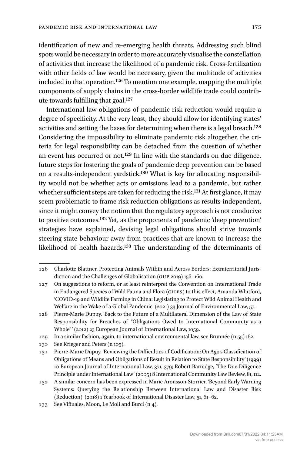identification of new and re-emerging health threats. Addressing such blind spots would be necessary in order to more accurately visualise the constellation of activities that increase the likelihood of a pandemic risk. Cross-fertilization with other fields of law would be necessary, given the multitude of activities included in that operation.126 To mention one example, mapping the multiple components of supply chains in the cross-border wildlife trade could contribute towards fulfilling that goal.127

International law obligations of pandemic risk reduction would require a degree of specificity. At the very least, they should allow for identifying states' activities and setting the bases for determining when there is a legal breach.128 Considering the impossibility to eliminate pandemic risk altogether, the criteria for legal responsibility can be detached from the question of whether an event has occurred or not.129 In line with the standards on due diligence, future steps for fostering the goals of pandemic deep prevention can be based on a results-independent yardstick.130 What is key for allocating responsibility would not be whether acts or omissions lead to a pandemic, but rather whether sufficient steps are taken for reducing the risk.<sup>131</sup> At first glance, it may seem problematic to frame risk reduction obligations as results-independent, since it might convey the notion that the regulatory approach is not conducive to positive outcomes.132 Yet, as the proponents of pandemic 'deep prevention' strategies have explained, devising legal obligations should strive towards steering state behaviour away from practices that are known to increase the likelihood of health hazards.133 The understanding of the determinants of

129 In a similar fashion, again, to international environmental law, see Brunnée (n 55) 162.

130 See Krieger and Peters (n 105).

<sup>126</sup> Charlotte Blattner, Protecting Animals Within and Across Borders: Extraterritorial Jurisdiction and the Challenges of Globalisation (oup 2019) 156–160.

<sup>127</sup> On suggestions to reform, or at least reinterpret the Convention on International Trade in Endangered Species of Wild Fauna and Flora (CITES) to this effect, Amanda Whitford, 'COVID-19 and Wildlife Farming in China: Legislating to Protect Wild Animal Health and Welfare in the Wake of a Global Pandemic' (2021) 33 Journal of Environmental Law, 57.

<sup>128</sup> Pierre-Marie Dupuy, 'Back to the Future of a Multilateral Dimension of the Law of State Responsibility for Breaches of "Obligations Owed to International Community as a Whole"' (2012) 23 European Journal of International Law, 1059.

<sup>131</sup> Pierre-Marie Dupuy, 'Reviewing the Difficulties of Codification: On Ago's Classification of Obligations of Means and Obligations of Result in Relation to State Responsibility' (1999) 10 European Journal of International Law, 371, 379; Robert Barnidge, ´The Due Diligence Principle under International Law´ (2005) 8 International Community Law Review, 81, 112.

<sup>132</sup> A similar concern has been expressed in Marie Aronsson-Storrier, 'Beyond Early Warning Systems: Querying the Relationship Between International Law and Disaster Risk (Reduction)' (2018) 1 Yearbook of International Disaster Law, 51, 61–62.

<sup>133</sup> See Viñuales, Moon, Le Moli and Burci (n 4).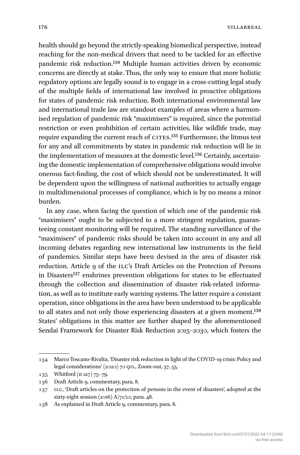health should go beyond the strictly-speaking biomedical perspective, instead reaching for the non-medical drivers that need to be tackled for an effective pandemic risk reduction.134 Multiple human activities driven by economic concerns are directly at stake. Thus, the only way to ensure that more holistic regulatory options are legally sound is to engage in a cross-cutting legal study of the multiple fields of international law involved in proactive obligations for states of pandemic risk reduction. Both international environmental law and international trade law are standout examples of areas where a harmonised regulation of pandemic risk "maximisers" is required, since the potential restriction or even prohibition of certain activities, like wildlife trade, may require expanding the current reach of CITES.<sup>135</sup> Furthermore, the litmus test for any and all commitments by states in pandemic risk reduction will lie in the implementation of measures at the domestic level.136 Certainly, ascertaining the domestic implementation of comprehensive obligations would involve onerous fact-finding, the cost of which should not be underestimated. It will be dependent upon the willingness of national authorities to actually engage in multidimensional processes of compliance, which is by no means a minor burden.

In any case, when facing the question of which one of the pandemic risk "maximisers" ought to be subjected to a more stringent regulation, guaranteeing constant monitoring will be required. The standing surveillance of the "maximisers" of pandemic risks should be taken into account in any and all incoming debates regarding new international law instruments in the field of pandemics. Similar steps have been devised in the area of disaster risk reduction. Article 9 of the ILC's Draft Articles on the Protection of Persons in Disasters<sup>137</sup> enshrines prevention obligations for states to be effectuated through the collection and dissemination of disaster risk-related information, as well as to institute early warning systems. The latter require a constant operation, since obligations in the area have been understood to be applicable to all states and not only those experiencing disasters at a given moment.<sup>138</sup> States' obligations in this matter are further shaped by the aforementioned Sendai Framework for Disaster Risk Reduction 2015–2030, which fosters the

<sup>134</sup> Marco Toscano-Rivalta, 'Disaster risk reduction in light of the COVID-19 crisis: Policy and legal considerations' (2020) 70 qil, Zoom-out, 37, 55.

<sup>135</sup> Whitford (n 127) 75–79.

<sup>136</sup> Draft Article 9, commentary, para. 8.

<sup>137</sup> ilc, 'Draft articles on the protection of persons in the event of disasters', adopted at the sixty-eight session  $(2016)$  A/71/10, para. 48.

<sup>138</sup> As explained in Draft Article 9, commentary, para. 8.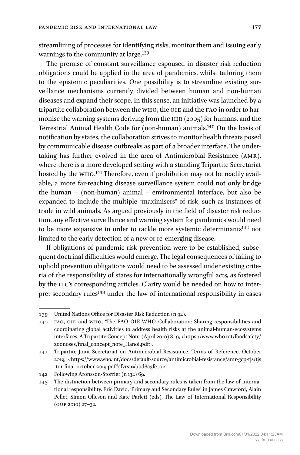streamlining of processes for identifying risks, monitor them and issuing early warnings to the community at large.139

The premise of constant surveillance espoused in disaster risk reduction obligations could be applied in the area of pandemics, whilst tailoring them to the epistemic peculiarities. One possibility is to streamline existing surveillance mechanisms currently divided between human and non-human diseases and expand their scope. In this sense, an initiative was launched by a tripartite collaboration between the WHO, the OIE and the FAO in order to harmonise the warning systems deriving from the  $IHR (2005)$  for humans, and the Terrestrial Animal Health Code for (non-human) animals.140 On the basis of notification by states, the collaboration strives to monitor health threats posed by communicable disease outbreaks as part of a broader interface. The undertaking has further evolved in the area of Antimicrobial Resistance (amr), where there is a more developed setting with a standing Tripartite Secretariat hosted by the who.141 Therefore, even if prohibition may not be readily available, a more far-reaching disease surveillance system could not only bridge the human – (non-human) animal – environmental interface, but also be expanded to include the multiple "maximisers" of risk, such as instances of trade in wild animals. As argued previously in the field of disaster risk reduction, any effective surveillance and warning system for pandemics would need to be more expansive in order to tackle more systemic determinants<sup>142</sup> not limited to the early detection of a new or re-emerging disease.

If obligations of pandemic risk prevention were to be established, subsequent doctrinal difficulties would emerge. The legal consequences of failing to uphold prevention obligations would need to be assessed under existing criteria of the responsibility of states for internationally wrongful acts, as fostered by the ILC's corresponding articles. Clarity would be needed on how to interpret secondary rules<sup>143</sup> under the law of international responsibility in cases

<sup>139</sup> United Nations Office for Disaster Risk Reduction (n 92).

<sup>140</sup> fao, oie and who, 'The FAO-OIE-WHO Collaboration: Sharing responsibilities and coordinating global activities to address health risks at the animal-human-ecosystems interfaces. A Tripartite Concept Note' (April 2010) 8–9, <[https://www.who.int/foodsafety/](https://www.who.int/foodsafety/zoonoses/final_concept_note_Hanoi.pdf) [zoonoses/final\\_concept\\_note\\_Hanoi.pdf](https://www.who.int/foodsafety/zoonoses/final_concept_note_Hanoi.pdf)>.

<sup>141</sup> Tripartite Joint Secretariat on Antimicrobial Resistance. Terms of Reference, October 2019, [<https://www.who.int/docs/](https://www.who.int/docs/default-source/antimicrobial-resistance/amr-gcp-tjs/tjs-tor-final-october-2019.pdf?sfvrsn=bbd8a3fe_0)default-source/antimicrobial-resistance/amr-gcp-tjs/tjs -tor-final-october[-2019.pdf?sfvrsn=bbd8a3fe\\_0](https://www.who.int/docs/default-source/antimicrobial-resistance/amr-gcp-tjs/tjs-tor-final-october-2019.pdf?sfvrsn=bbd8a3fe_0)>.

<sup>142</sup> Following Aronsson-Storrier (n 132) 69.

<sup>143</sup> The distinction between primary and secondary rules is taken from the law of international responsibility. Eric David, 'Primary and Secondary Rules' in James Crawford, Alain Pellet, Simon Olleson and Kate Parlett (eds), The Law of International Responsibility (oup 2010) 27–32.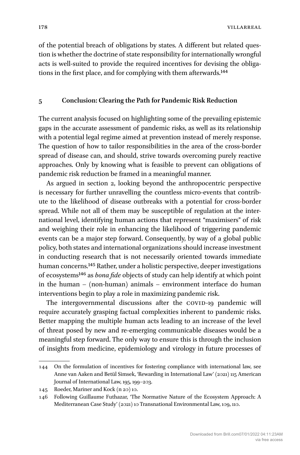of the potential breach of obligations by states. A different but related question is whether the doctrine of state responsibility for internationally wrongful acts is well-suited to provide the required incentives for devising the obligations in the first place, and for complying with them afterwards.144

#### **5 Conclusion: Clearing the Path for Pandemic Risk Reduction**

The current analysis focused on highlighting some of the prevailing epistemic gaps in the accurate assessment of pandemic risks, as well as its relationship with a potential legal regime aimed at prevention instead of merely response. The question of how to tailor responsibilities in the area of the cross-border spread of disease can, and should, strive towards overcoming purely reactive approaches. Only by knowing what is feasible to prevent can obligations of pandemic risk reduction be framed in a meaningful manner.

As argued in section 2, looking beyond the anthropocentric perspective is necessary for further unravelling the countless micro-events that contribute to the likelihood of disease outbreaks with a potential for cross-border spread. While not all of them may be susceptible of regulation at the international level, identifying human actions that represent "maximisers" of risk and weighing their role in enhancing the likelihood of triggering pandemic events can be a major step forward. Consequently, by way of a global public policy, both states and international organizations should increase investment in conducting research that is not necessarily oriented towards immediate human concerns.145 Rather, under a holistic perspective, deeper investigations of ecosystems146 as *bona fide* objects of study can help identify at which point in the human – (non-human) animals – environment interface do human interventions begin to play a role in maximizing pandemic risk.

The intergovernmental discussions after the COVID-19 pandemic will require accurately grasping factual complexities inherent to pandemic risks. Better mapping the multiple human acts leading to an increase of the level of threat posed by new and re-emerging communicable diseases would be a meaningful step forward. The only way to ensure this is through the inclusion of insights from medicine, epidemiology and virology in future processes of

<sup>144</sup> On the formulation of incentives for fostering compliance with international law, see Anne van Aaken and Betül Simsek, 'Rewarding in International Law' (2021) 115 American Journal of International Law, 195, 199–203.

<sup>145</sup> Roeder, Mariner and Kock (n 20) 10.

<sup>146</sup> Following Guillaume Futhazar, 'The Normative Nature of the Ecosystem Approach: A Mediterranean Case Study' (2021) 10 Transnational Environmental Law, 109, 110.